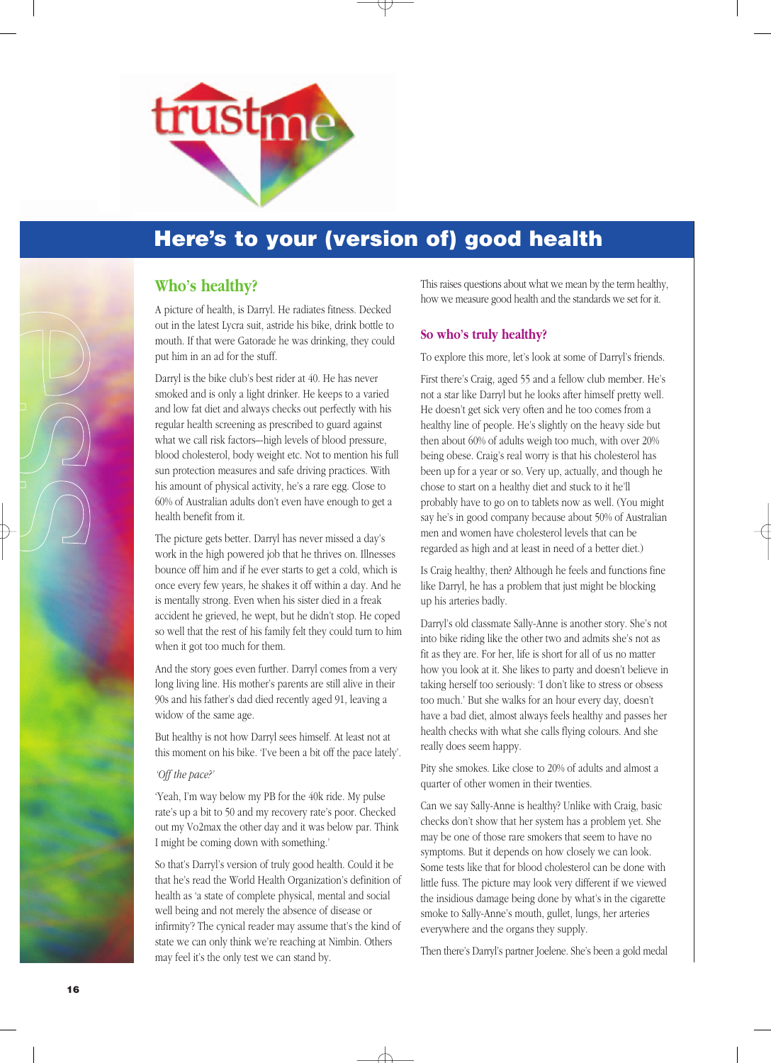

## **Here's to your (version of) good health**

### **Who's healthy?**

A picture of health, is Darryl. He radiates fitness. Decked out in the latest Lycra suit, astride his bike, drink bottle to mouth. If that were Gatorade he was drinking, they could put him in an ad for the stuff.

Darryl is the bike club's best rider at 40. He has never smoked and is only a light drinker. He keeps to a varied and low fat diet and always checks out perfectly with his regular health screening as prescribed to guard against what we call risk factors–-high levels of blood pressure, blood cholesterol, body weight etc. Not to mention his full sun protection measures and safe driving practices. With his amount of physical activity, he's a rare egg. Close to 60% of Australian adults don't even have enough to get a health benefit from it.

The picture gets better. Darryl has never missed a day's work in the high powered job that he thrives on. Illnesses bounce off him and if he ever starts to get a cold, which is once every few years, he shakes it off within a day. And he is mentally strong. Even when his sister died in a freak accident he grieved, he wept, but he didn't stop. He coped so well that the rest of his family felt they could turn to him when it got too much for them.

And the story goes even further. Darryl comes from a very long living line. His mother's parents are still alive in their 90s and his father's dad died recently aged 91, leaving a widow of the same age.

But healthy is not how Darryl sees himself. At least not at this moment on his bike. 'I've been a bit off the pace lately'.

#### *'Off the pace?'*

'Yeah, I'm way below my PB for the 40k ride. My pulse rate's up a bit to 50 and my recovery rate's poor. Checked out my Vo2max the other day and it was below par. Think I might be coming down with something.'

So that's Darryl's version of truly good health. Could it be that he's read the World Health Organization's definition of health as 'a state of complete physical, mental and social well being and not merely the absence of disease or infirmity'? The cynical reader may assume that's the kind of state we can only think we're reaching at Nimbin. Others may feel it's the only test we can stand by.

This raises questions about what we mean by the term healthy, how we measure good health and the standards we set for it.

### **So who's truly healthy?**

To explore this more, let's look at some of Darryl's friends.

First there's Craig, aged 55 and a fellow club member. He's not a star like Darryl but he looks after himself pretty well. He doesn't get sick very often and he too comes from a healthy line of people. He's slightly on the heavy side but then about 60% of adults weigh too much, with over 20% being obese. Craig's real worry is that his cholesterol has been up for a year or so. Very up, actually, and though he chose to start on a healthy diet and stuck to it he'll probably have to go on to tablets now as well. (You might say he's in good company because about 50% of Australian men and women have cholesterol levels that can be regarded as high and at least in need of a better diet.)

Is Craig healthy, then? Although he feels and functions fine like Darryl, he has a problem that just might be blocking up his arteries badly.

Darryl's old classmate Sally-Anne is another story. She's not into bike riding like the other two and admits she's not as fit as they are. For her, life is short for all of us no matter how you look at it. She likes to party and doesn't believe in taking herself too seriously: 'I don't like to stress or obsess too much.' But she walks for an hour every day, doesn't have a bad diet, almost always feels healthy and passes her health checks with what she calls flying colours. And she really does seem happy.

Pity she smokes. Like close to 20% of adults and almost a quarter of other women in their twenties.

Can we say Sally-Anne is healthy? Unlike with Craig, basic checks don't show that her system has a problem yet. She may be one of those rare smokers that seem to have no symptoms. But it depends on how closely we can look. Some tests like that for blood cholesterol can be done with little fuss. The picture may look very different if we viewed the insidious damage being done by what's in the cigarette smoke to Sally-Anne's mouth, gullet, lungs, her arteries everywhere and the organs they supply.

Then there's Darryl's partner Joelene. She's been a gold medal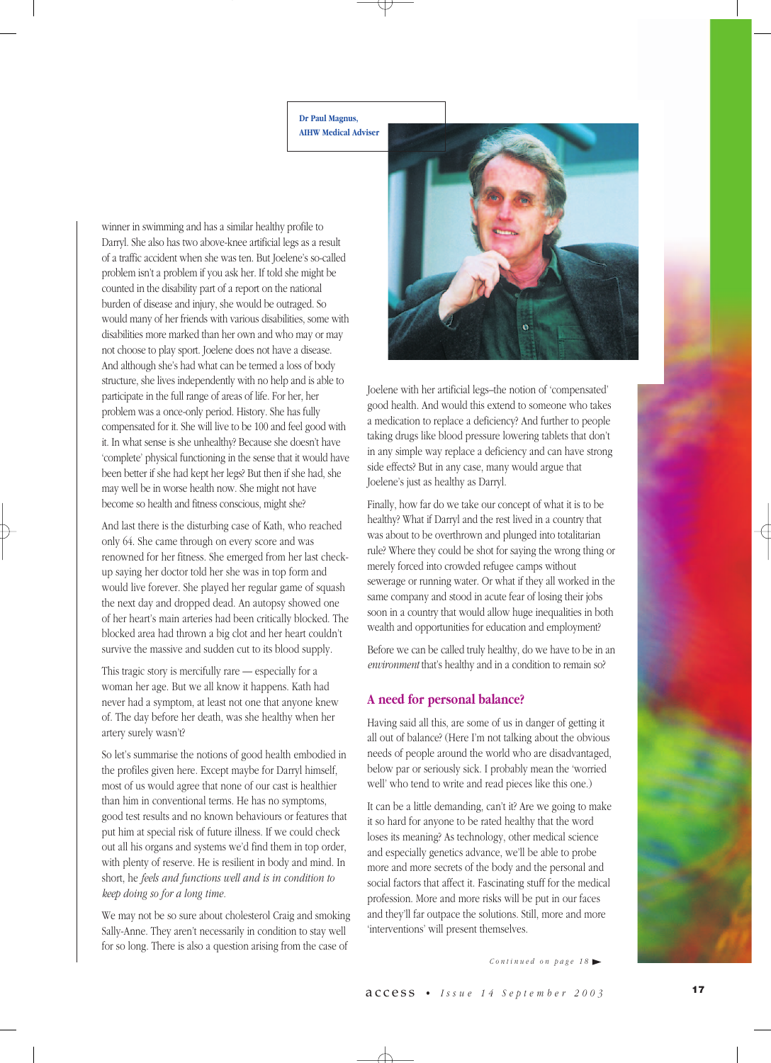**Dr Paul Magnus, AIHW Medical Adviser**

winner in swimming and has a similar healthy profile to Darryl. She also has two above-knee artificial legs as a result of a traffic accident when she was ten. But Joelene's so-called problem isn't a problem if you ask her. If told she might be counted in the disability part of a report on the national burden of disease and injury, she would be outraged. So would many of her friends with various disabilities, some with disabilities more marked than her own and who may or may not choose to play sport. Joelene does not have a disease. And although she's had what can be termed a loss of body structure, she lives independently with no help and is able to participate in the full range of areas of life. For her, her problem was a once-only period. History. She has fully compensated for it. She will live to be 100 and feel good with it. In what sense is she unhealthy? Because she doesn't have 'complete' physical functioning in the sense that it would have been better if she had kept her legs? But then if she had, she may well be in worse health now. She might not have become so health and fitness conscious, might she?

And last there is the disturbing case of Kath, who reached only 64. She came through on every score and was renowned for her fitness. She emerged from her last checkup saying her doctor told her she was in top form and would live forever. She played her regular game of squash the next day and dropped dead. An autopsy showed one of her heart's main arteries had been critically blocked. The blocked area had thrown a big clot and her heart couldn't survive the massive and sudden cut to its blood supply.

This tragic story is mercifully rare — especially for a woman her age. But we all know it happens. Kath had never had a symptom, at least not one that anyone knew of. The day before her death, was she healthy when her artery surely wasn't?

So let's summarise the notions of good health embodied in the profiles given here. Except maybe for Darryl himself, most of us would agree that none of our cast is healthier than him in conventional terms. He has no symptoms, good test results and no known behaviours or features that put him at special risk of future illness. If we could check out all his organs and systems we'd find them in top order, with plenty of reserve. He is resilient in body and mind. In short, he *feels and functions well and is in condition to keep doing so for a long time.*

We may not be so sure about cholesterol Craig and smoking Sally-Anne. They aren't necessarily in condition to stay well for so long. There is also a question arising from the case of



Joelene with her artificial legs–the notion of 'compensated' good health. And would this extend to someone who takes a medication to replace a deficiency? And further to people taking drugs like blood pressure lowering tablets that don't in any simple way replace a deficiency and can have strong side effects? But in any case, many would argue that Joelene's just as healthy as Darryl.

Finally, how far do we take our concept of what it is to be healthy? What if Darryl and the rest lived in a country that was about to be overthrown and plunged into totalitarian rule? Where they could be shot for saying the wrong thing or merely forced into crowded refugee camps without sewerage or running water. Or what if they all worked in the same company and stood in acute fear of losing their jobs soon in a country that would allow huge inequalities in both wealth and opportunities for education and employment?

Before we can be called truly healthy, do we have to be in an *environment* that's healthy and in a condition to remain so?

### **A need for personal balance?**

Having said all this, are some of us in danger of getting it all out of balance? (Here I'm not talking about the obvious needs of people around the world who are disadvantaged, below par or seriously sick. I probably mean the 'worried well' who tend to write and read pieces like this one.)

It can be a little demanding, can't it? Are we going to make it so hard for anyone to be rated healthy that the word loses its meaning? As technology, other medical science and especially genetics advance, we'll be able to probe more and more secrets of the body and the personal and social factors that affect it. Fascinating stuff for the medical profession. More and more risks will be put in our faces and they'll far outpace the solutions. Still, more and more 'interventions' will present themselves.

*Continued on page 18*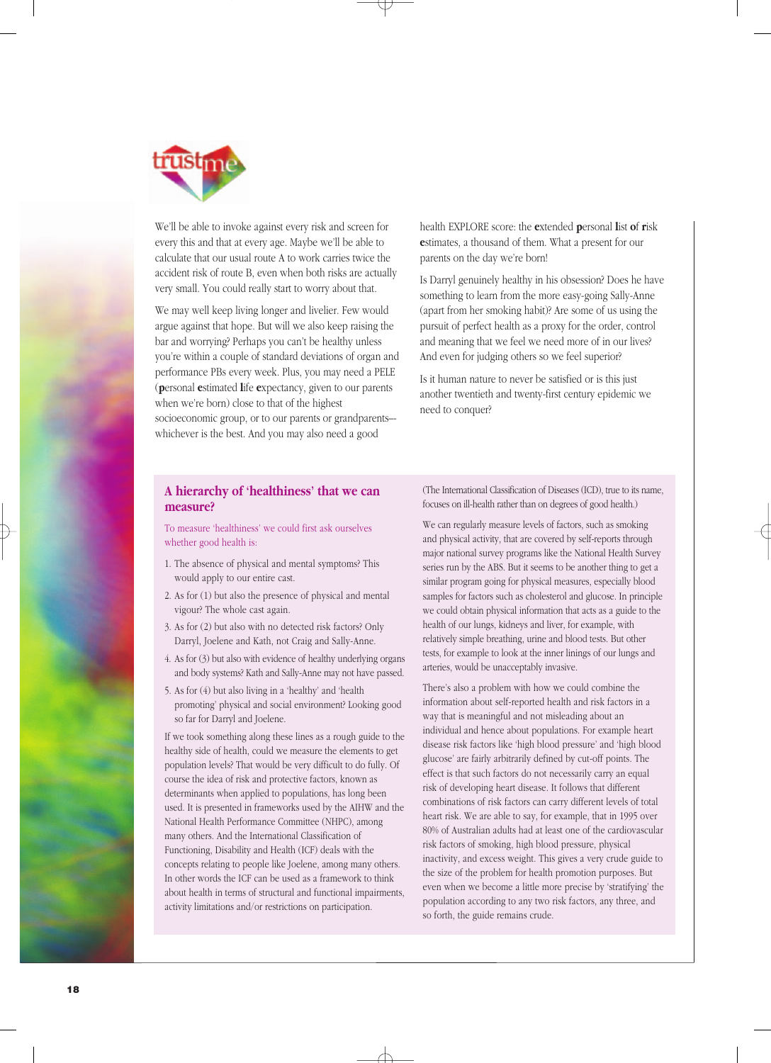

We'll be able to invoke against every risk and screen for every this and that at every age. Maybe we'll be able to calculate that our usual route A to work carries twice the accident risk of route B, even when both risks are actually very small. You could really start to worry about that.

We may well keep living longer and livelier. Few would argue against that hope. But will we also keep raising the bar and worrying? Perhaps you can't be healthy unless you're within a couple of standard deviations of organ and performance PBs every week. Plus, you may need a PELE (**p**ersonal **e**stimated **l**ife **e**xpectancy, given to our parents when we're born) close to that of the highest socioeconomic group, or to our parents or grandparents-whichever is the best. And you may also need a good

health EXPLORE score: the **e**xtended **p**ersonal **l**ist **o**f **r**isk **e**stimates, a thousand of them. What a present for our parents on the day we're born!

Is Darryl genuinely healthy in his obsession? Does he have something to learn from the more easy-going Sally-Anne (apart from her smoking habit)? Are some of us using the pursuit of perfect health as a proxy for the order, control and meaning that we feel we need more of in our lives? And even for judging others so we feel superior?

Is it human nature to never be satisfied or is this just another twentieth and twenty-first century epidemic we need to conquer?

#### **A hierarchy of 'healthiness' that we can measure?**

To measure 'healthiness' we could first ask ourselves whether good health is:

- 1. The absence of physical and mental symptoms? This would apply to our entire cast.
- 2. As for (1) but also the presence of physical and mental vigour? The whole cast again.
- 3. As for (2) but also with no detected risk factors? Only Darryl, Joelene and Kath, not Craig and Sally-Anne.
- 4. As for (3) but also with evidence of healthy underlying organs and body systems? Kath and Sally-Anne may not have passed.
- 5. As for (4) but also living in a 'healthy' and 'health promoting' physical and social environment? Looking good so far for Darryl and Joelene.

If we took something along these lines as a rough guide to the healthy side of health, could we measure the elements to get population levels? That would be very difficult to do fully. Of course the idea of risk and protective factors, known as determinants when applied to populations, has long been used. It is presented in frameworks used by the AIHW and the National Health Performance Committee (NHPC), among many others. And the International Classification of Functioning, Disability and Health (ICF) deals with the concepts relating to people like Joelene, among many others. In other words the ICF can be used as a framework to think about health in terms of structural and functional impairments, activity limitations and/or restrictions on participation.

(The International Classification of Diseases (ICD), true to its name, focuses on ill-health rather than on degrees of good health.)

We can regularly measure levels of factors, such as smoking and physical activity, that are covered by self-reports through major national survey programs like the National Health Survey series run by the ABS. But it seems to be another thing to get a similar program going for physical measures, especially blood samples for factors such as cholesterol and glucose. In principle we could obtain physical information that acts as a guide to the health of our lungs, kidneys and liver, for example, with relatively simple breathing, urine and blood tests. But other tests, for example to look at the inner linings of our lungs and arteries, would be unacceptably invasive.

There's also a problem with how we could combine the information about self-reported health and risk factors in a way that is meaningful and not misleading about an individual and hence about populations. For example heart disease risk factors like 'high blood pressure' and 'high blood glucose' are fairly arbitrarily defined by cut-off points. The effect is that such factors do not necessarily carry an equal risk of developing heart disease. It follows that different combinations of risk factors can carry different levels of total heart risk. We are able to say, for example, that in 1995 over 80% of Australian adults had at least one of the cardiovascular risk factors of smoking, high blood pressure, physical inactivity, and excess weight. This gives a very crude guide to the size of the problem for health promotion purposes. But even when we become a little more precise by 'stratifying' the population according to any two risk factors, any three, and so forth, the guide remains crude.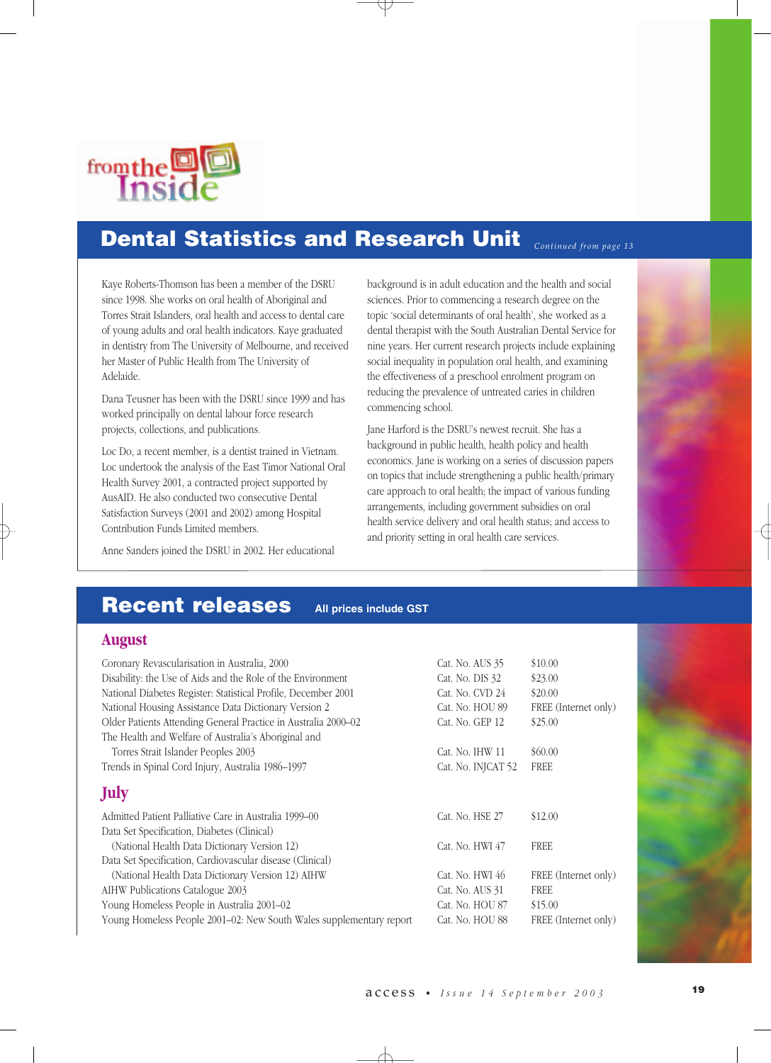

#### **Dental Statistics and Research Unit**  *Continued from page 13*

Kaye Roberts-Thomson has been a member of the DSRU since 1998. She works on oral health of Aboriginal and Torres Strait Islanders, oral health and access to dental care of young adults and oral health indicators. Kaye graduated in dentistry from The University of Melbourne, and received her Master of Public Health from The University of Adelaide.

Dana Teusner has been with the DSRU since 1999 and has worked principally on dental labour force research projects, collections, and publications.

Loc Do, a recent member, is a dentist trained in Vietnam. Loc undertook the analysis of the East Timor National Oral Health Survey 2001, a contracted project supported by AusAID. He also conducted two consecutive Dental Satisfaction Surveys (2001 and 2002) among Hospital Contribution Funds Limited members.

Anne Sanders joined the DSRU in 2002. Her educational

background is in adult education and the health and social sciences. Prior to commencing a research degree on the topic 'social determinants of oral health', she worked as a dental therapist with the South Australian Dental Service for nine years. Her current research projects include explaining social inequality in population oral health, and examining the effectiveness of a preschool enrolment program on reducing the prevalence of untreated caries in children commencing school.

Jane Harford is the DSRU's newest recruit. She has a background in public health, health policy and health economics. Jane is working on a series of discussion papers on topics that include strengthening a public health/primary care approach to oral health; the impact of various funding arrangements, including government subsidies on oral health service delivery and oral health status; and access to and priority setting in oral health care services.

## **Recent releases All prices include GST**

### **August**

| Coronary Revascularisation in Australia, 2000                       | Cat. No. AUS 35    | \$10.00              |
|---------------------------------------------------------------------|--------------------|----------------------|
| Disability: the Use of Aids and the Role of the Environment         | Cat. No. DIS 32    | \$23.00              |
| National Diabetes Register: Statistical Profile, December 2001      | Cat. No. CVD 24    | \$20.00              |
| National Housing Assistance Data Dictionary Version 2               | Cat. No. HOU 89    | FREE (Internet only) |
| Older Patients Attending General Practice in Australia 2000-02      | Cat. No. GEP 12    | \$25.00              |
| The Health and Welfare of Australia's Aboriginal and                |                    |                      |
| Torres Strait Islander Peoples 2003                                 | Cat. No. IHW 11    | \$60.00              |
| Trends in Spinal Cord Injury, Australia 1986-1997                   | Cat. No. INJCAT 52 | <b>FREE</b>          |
| July                                                                |                    |                      |
| Admitted Patient Palliative Care in Australia 1999–00               | Cat. No. HSE 27    | \$12.00              |
| Data Set Specification, Diabetes (Clinical)                         |                    |                      |
| (National Health Data Dictionary Version 12)                        | Cat. No. HWI 47    | <b>FREE</b>          |
| Data Set Specification, Cardiovascular disease (Clinical)           |                    |                      |
| (National Health Data Dictionary Version 12) AIHW                   | Cat. No. HWI 46    | FREE (Internet only) |
| AIHW Publications Catalogue 2003                                    | Cat. No. AUS 31    | FREE                 |
| Young Homeless People in Australia 2001-02                          | Cat. No. HOU 87    | \$15.00              |
| Young Homeless People 2001–02: New South Wales supplementary report | Cat. No. HOU 88    | FREE (Internet only) |